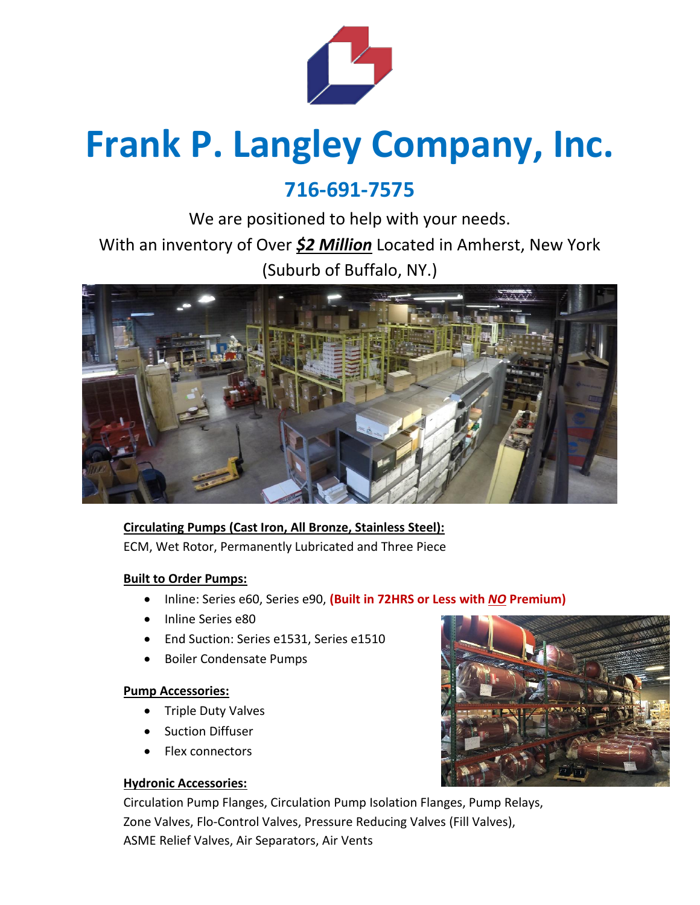

# **Frank P. Langley Company, Inc.**

# **716-691-7575**

We are positioned to help with your needs. With an inventory of Over *\$2 Million* Located in Amherst, New York (Suburb of Buffalo, NY.)



## **Circulating Pumps (Cast Iron, All Bronze, Stainless Steel):** ECM, Wet Rotor, Permanently Lubricated and Three Piece

### **Built to Order Pumps:**

- Inline: Series e60, Series e90, **(Built in 72HRS or Less with** *NO* **Premium)**
- Inline Series e80
- End Suction: Series e1531, Series e1510
- Boiler Condensate Pumps

#### **Pump Accessories:**

- Triple Duty Valves
- **Suction Diffuser**
- Flex connectors

#### **Hydronic Accessories:**

Circulation Pump Flanges, Circulation Pump Isolation Flanges, Pump Relays, Zone Valves, Flo-Control Valves, Pressure Reducing Valves (Fill Valves), ASME Relief Valves, Air Separators, Air Vents